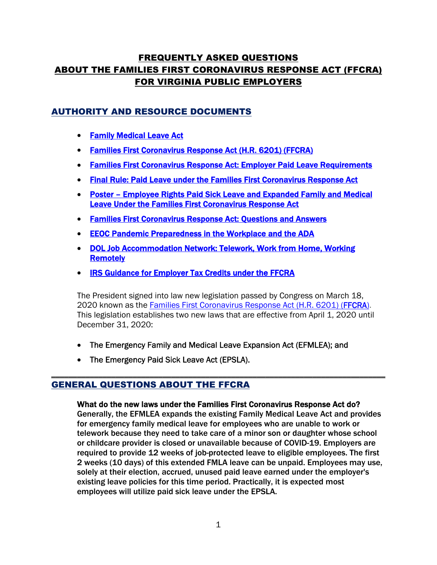# FREQUENTLY ASKED QUESTIONS ABOUT THE FAMILIES FIRST CORONAVIRUS RESPONSE ACT (FFCRA) FOR VIRGINIA PUBLIC EMPLOYERS

# AUTHORITY AND RESOURCE DOCUMENTS

- **[Family Medical Leave Act](https://www.dol.gov/agencies/whd/fmla)**
- [Families First Coronavirus Response Act \(H.R. 6201\) \(FFCRA\)](https://www.congress.gov/bill/116th-congress/house-bill/6201)
- **[Families First Coronavirus Response Act: Employer Paid Leave Requirements](https://www.dol.gov/agencies/whd/pandemic/ffcra-employer-paid-leave)**
- **[Final Rule: Paid Leave under the Families First Coronavirus Response Act](https://www.federalregister.gov/documents/2020/04/06/2020-07237/paid-leave-under-the-families-first-coronavirus-response-act)**
- [Poster Employee Rights Paid Sick Leave and Expanded Family and Medical](https://www.dol.gov/sites/dolgov/files/WHD/posters/FFCRA_Poster_WH1422_Non-Federal.pdf)  [Leave Under the Families First Coronavirus Response Act](https://www.dol.gov/sites/dolgov/files/WHD/posters/FFCRA_Poster_WH1422_Non-Federal.pdf)
- **[Families First Coronavirus Response Act: Questions and Answers](https://www.dol.gov/agencies/whd/pandemic/ffcra-questions)**
- [EEOC Pandemic Preparedness in the Workplace and the ADA](https://www.eeoc.gov/facts/pandemic_flu.html)
- [DOL Job Accommodation Network: Telework, Work from Home, Working](https://askjan.org/solutions/Telework-Work-from-Home-Working-Remotely.cfm)  **[Remotely](https://askjan.org/solutions/Telework-Work-from-Home-Working-Remotely.cfm)**
- [IRS Guidance for Employer Tax Credits](https://www.irs.gov/newsroom/covid-19-related-tax-credits-for-required-paid-leave-provided-by-small-and-midsize-businesses-faqs) under the FFCRA

The President signed into law new legislation passed by Congress on March 18, 2020 known as the [Families First Coronavirus Response Act \(H.R. 6201\) \(FFCRA\).](https://www.congress.gov/bill/116th-congress/house-bill/6201) This legislation establishes two new laws that are effective from April 1, 2020 until December 31, 2020:

- The Emergency Family and Medical Leave Expansion Act (EFMLEA); and
- The Emergency Paid Sick Leave Act (EPSLA).

# GENERAL QUESTIONS ABOUT THE FFCRA

#### What do the new laws under the Families First Coronavirus Response Act do?

\_\_\_\_\_\_\_\_\_\_\_\_\_\_\_\_\_\_\_\_\_\_\_\_\_\_\_\_\_\_\_\_\_\_\_\_\_\_\_\_\_\_\_\_\_\_\_\_\_\_\_\_\_\_\_\_\_\_\_\_\_\_\_\_\_\_\_\_\_\_\_\_\_\_\_\_\_\_

Generally, the EFMLEA expands the existing Family Medical Leave Act and provides for emergency family medical leave for employees who are unable to work or telework because they need to take care of a minor son or daughter whose school or childcare provider is closed or unavailable because of COVID-19. Employers are required to provide 12 weeks of job-protected leave to eligible employees. The first 2 weeks (10 days) of this extended FMLA leave can be unpaid. Employees may use, solely at their election, accrued, unused paid leave earned under the employer's existing leave policies for this time period. Practically, it is expected most employees will utilize paid sick leave under the EPSLA.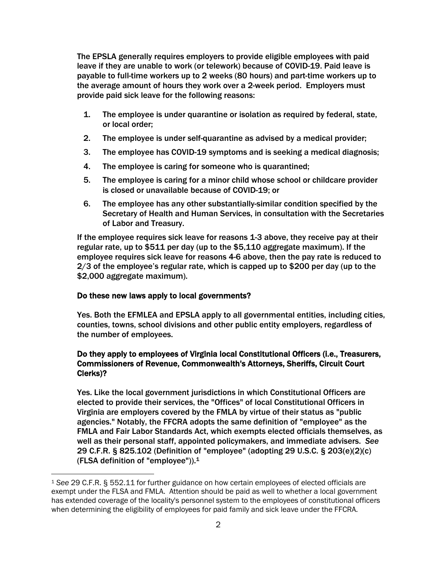The EPSLA generally requires employers to provide eligible employees with paid leave if they are unable to work (or telework) because of COVID-19. Paid leave is payable to full-time workers up to 2 weeks (80 hours) and part-time workers up to the average amount of hours they work over a 2-week period. Employers must provide paid sick leave for the following reasons:

- 1. The employee is under quarantine or isolation as required by federal, state, or local order;
- 2. The employee is under self-quarantine as advised by a medical provider;
- 3. The employee has COVID-19 symptoms and is seeking a medical diagnosis;
- 4. The employee is caring for someone who is quarantined;
- 5. The employee is caring for a minor child whose school or childcare provider is closed or unavailable because of COVID-19; or
- 6. The employee has any other substantially-similar condition specified by the Secretary of Health and Human Services, in consultation with the Secretaries of Labor and Treasury.

If the employee requires sick leave for reasons 1-3 above, they receive pay at their regular rate, up to \$511 per day (up to the \$5,110 aggregate maximum). If the employee requires sick leave for reasons 4-6 above, then the pay rate is reduced to 2/3 of the employee's regular rate, which is capped up to \$200 per day (up to the \$2,000 aggregate maximum).

# Do these new laws apply to local governments?

Yes. Both the EFMLEA and EPSLA apply to all governmental entities, including cities, counties, towns, school divisions and other public entity employers, regardless of the number of employees.

### Do they apply to employees of Virginia local Constitutional Officers (i.e., Treasurers, Commissioners of Revenue, Commonwealth's Attorneys, Sheriffs, Circuit Court Clerks)?

Yes. Like the local government jurisdictions in which Constitutional Officers are elected to provide their services, the "Offices" of local Constitutional Officers in Virginia are employers covered by the FMLA by virtue of their status as "public agencies." Notably, the FFCRA adopts the same definition of "employee" as the FMLA and Fair Labor Standards Act, which exempts elected officials themselves, as well as their personal staff, appointed policymakers, and immediate advisers. *See*  29 C.F.R. § 825.102 (Definition of "employee" (adopting 29 U.S.C. § 203(e)(2)(c) (FLSA definition of "employee")).[1](#page-1-0)

<span id="page-1-0"></span><sup>1</sup> *See* 29 C.F.R. § 552.11 for further guidance on how certain employees of elected officials are exempt under the FLSA and FMLA. Attention should be paid as well to whether a local government has extended coverage of the locality's personnel system to the employees of constitutional officers when determining the eligibility of employees for paid family and sick leave under the FFCRA.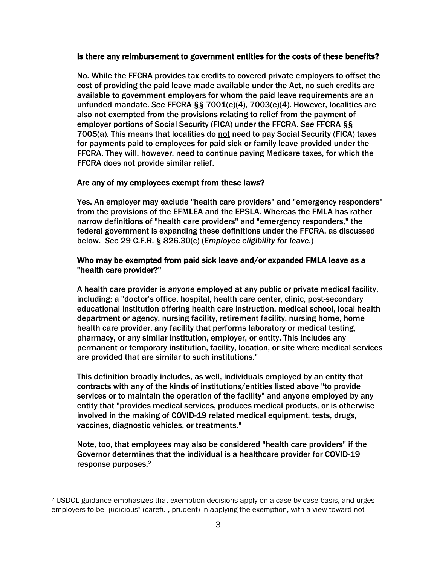#### Is there any reimbursement to government entities for the costs of these benefits?

No. While the FFCRA provides tax credits to covered private employers to offset the cost of providing the paid leave made available under the Act, no such credits are available to government employers for whom the paid leave requirements are an unfunded mandate. *See* FFCRA §§ 7001(e)(4), 7003(e)(4). However, localities are also not exempted from the provisions relating to relief from the payment of employer portions of Social Security (FICA) under the FFCRA. *See* FFCRA §§ 7005(a). This means that localities do not need to pay Social Security (FICA) taxes for payments paid to employees for paid sick or family leave provided under the FFCRA. They will, however, need to continue paying Medicare taxes, for which the FFCRA does not provide similar relief.

#### Are any of my employees exempt from these laws?

Yes. An employer may exclude "health care providers" and "emergency responders" from the provisions of the EFMLEA and the EPSLA. Whereas the FMLA has rather narrow definitions of "health care providers" and "emergency responders," the federal government is expanding these definitions under the FFCRA, as discussed below. *See* 29 C.F.R. § 826.30(c) (*Employee eligibility for leave.*)

#### Who may be exempted from paid sick leave and/or expanded FMLA leave as a "health care provider?"

A health care provider is *anyone* employed at any public or private medical facility, including: a "doctor's office, hospital, health care center, clinic, post-secondary educational institution offering health care instruction, medical school, local health department or agency, nursing facility, retirement facility, nursing home, home health care provider, any facility that performs laboratory or medical testing, pharmacy, or any similar institution, employer, or entity. This includes any permanent or temporary institution, facility, location, or site where medical services are provided that are similar to such institutions."

This definition broadly includes, as well, individuals employed by an entity that contracts with any of the kinds of institutions/entities listed above "to provide services or to maintain the operation of the facility" and anyone employed by any entity that "provides medical services, produces medical products, or is otherwise involved in the making of COVID-19 related medical equipment, tests, drugs, vaccines, diagnostic vehicles, or treatments."

Note, too, that employees may also be considered "health care providers" if the Governor determines that the individual is a healthcare provider for COVID-19 response purposes.[2](#page-2-0)

<span id="page-2-0"></span><sup>2</sup> USDOL guidance emphasizes that exemption decisions apply on a case-by-case basis, and urges employers to be "judicious" (careful, prudent) in applying the exemption, with a view toward not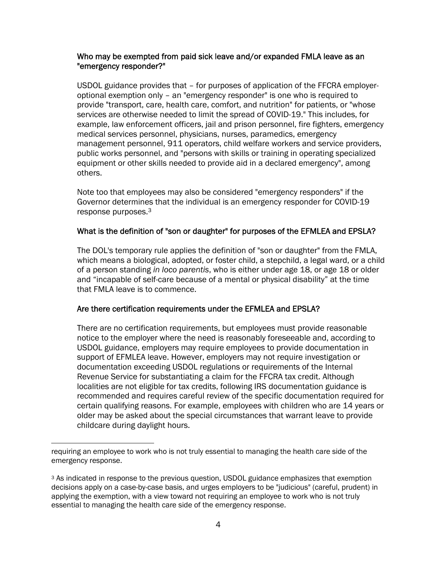### Who may be exempted from paid sick leave and/or expanded FMLA leave as an "emergency responder?"

USDOL guidance provides that – for purposes of application of the FFCRA employeroptional exemption only – an "emergency responder" is one who is required to provide "transport, care, health care, comfort, and nutrition" for patients, or "whose services are otherwise needed to limit the spread of COVID-19." This includes, for example, law enforcement officers, jail and prison personnel, fire fighters, emergency medical services personnel, physicians, nurses, paramedics, emergency management personnel, 911 operators, child welfare workers and service providers, public works personnel, and "persons with skills or training in operating specialized equipment or other skills needed to provide aid in a declared emergency", among others.

Note too that employees may also be considered "emergency responders" if the Governor determines that the individual is an emergency responder for COVID-19 response purposes.[3](#page-3-0)

### What is the definition of "son or daughter" for purposes of the EFMLEA and EPSLA?

The DOL's temporary rule applies the definition of "son or daughter" from the FMLA, which means a biological, adopted, or foster child, a stepchild, a legal ward, or a child of a person standing *in loco parentis*, who is either under age 18, or age 18 or older and "incapable of self-care because of a mental or physical disability" at the time that FMLA leave is to commence.

# Are there certification requirements under the EFMLEA and EPSLA?

There are no certification requirements, but employees must provide reasonable notice to the employer where the need is reasonably foreseeable and, according to USDOL guidance, employers may require employees to provide documentation in support of EFMLEA leave. However, employers may not require investigation or documentation exceeding USDOL regulations or requirements of the Internal Revenue Service for substantiating a claim for the FFCRA tax credit. Although localities are not eligible for tax credits, following IRS documentation guidance is recommended and requires careful review of the specific documentation required for certain qualifying reasons. For example, employees with children who are 14 years or older may be asked about the special circumstances that warrant leave to provide childcare during daylight hours.

requiring an employee to work who is not truly essential to managing the health care side of the emergency response.

<span id="page-3-0"></span><sup>&</sup>lt;sup>3</sup> As indicated in response to the previous question, USDOL guidance emphasizes that exemption decisions apply on a case-by-case basis, and urges employers to be "judicious" (careful, prudent) in applying the exemption, with a view toward not requiring an employee to work who is not truly essential to managing the health care side of the emergency response.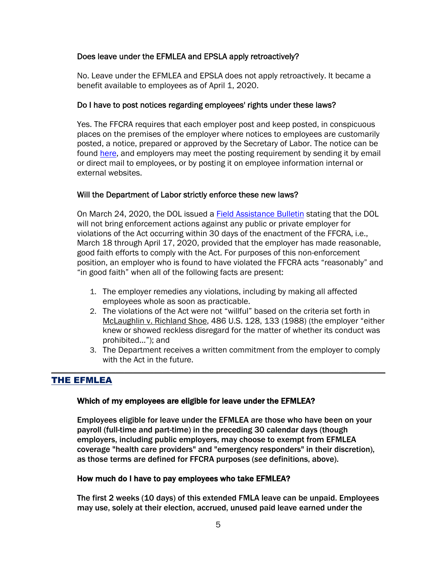### Does leave under the EFMLEA and EPSLA apply retroactively?

No. Leave under the EFMLEA and EPSLA does not apply retroactively. It became a benefit available to employees as of April 1, 2020.

#### Do I have to post notices regarding employees' rights under these laws?

Yes. The FFCRA requires that each employer post and keep posted, in conspicuous places on the premises of the employer where notices to employees are customarily posted, a notice, prepared or approved by the Secretary of Labor. The notice can be found [here](https://www.dol.gov/sites/dolgov/files/WHD/posters/FFCRA_Poster_WH1422_Non-Federal.pdf), and employers may meet the posting requirement by sending it by email or direct mail to employees, or by posting it on employee information internal or external websites.

### Will the Department of Labor strictly enforce these new laws?

On March 24, 2020, the DOL issued a [Field Assistance Bulletin](https://www.dol.gov/agencies/whd/field-assistance-bulletins/2020-1) stating that the DOL will not bring enforcement actions against any public or private employer for violations of the Act occurring within 30 days of the enactment of the FFCRA, i.e., March 18 through April 17, 2020, provided that the employer has made reasonable, good faith efforts to comply with the Act. For purposes of this non-enforcement position, an employer who is found to have violated the FFCRA acts "reasonably" and "in good faith" when all of the following facts are present:

- 1. The employer remedies any violations, including by making all affected employees whole as soon as practicable.
- 2. The violations of the Act were not "willful" based on the criteria set forth in McLaughlin v. Richland Shoe, 486 U.S. 128, 133 (1988) (the employer "either knew or showed reckless disregard for the matter of whether its conduct was prohibited…"); and
- 3. The Department receives a written commitment from the employer to comply with the Act in the future.

\_\_\_\_\_\_\_\_\_\_\_\_\_\_\_\_\_\_\_\_\_\_\_\_\_\_\_\_\_\_\_\_\_\_\_\_\_\_\_\_\_\_\_\_\_\_\_\_\_\_\_\_\_\_\_\_\_\_\_\_\_\_\_\_\_\_\_\_\_\_\_\_\_\_\_\_\_\_

# THE EFMLEA

#### Which of my employees are eligible for leave under the EFMLEA?

Employees eligible for leave under the EFMLEA are those who have been on your payroll (full-time and part-time) in the preceding 30 calendar days (though employers, including public employers, may choose to exempt from EFMLEA coverage "health care providers" and "emergency responders" in their discretion), as those terms are defined for FFCRA purposes (*see* definitions, above).

#### How much do I have to pay employees who take EFMLEA?

The first 2 weeks (10 days) of this extended FMLA leave can be unpaid. Employees may use, solely at their election, accrued, unused paid leave earned under the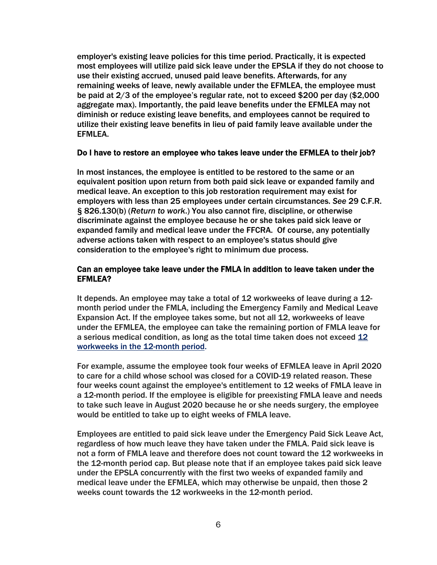employer's existing leave policies for this time period. Practically, it is expected most employees will utilize paid sick leave under the EPSLA if they do not choose to use their existing accrued, unused paid leave benefits. Afterwards, for any remaining weeks of leave, newly available under the EFMLEA, the employee must be paid at 2/3 of the employee's regular rate, not to exceed \$200 per day (\$2,000 aggregate max). Importantly, the paid leave benefits under the EFMLEA may not diminish or reduce existing leave benefits, and employees cannot be required to utilize their existing leave benefits in lieu of paid family leave available under the EFMLEA.

#### Do I have to restore an employee who takes leave under the EFMLEA to their job?

In most instances, the employee is entitled to be restored to the same or an equivalent position upon return from both paid sick leave or expanded family and medical leave. An exception to this job restoration requirement may exist for employers with less than 25 employees under certain circumstances. *See* 29 C.F.R. § 826.130(b) (*Return to work*.) You also cannot fire, discipline, or otherwise discriminate against the employee because he or she takes paid sick leave or expanded family and medical leave under the FFCRA. Of course, any potentially adverse actions taken with respect to an employee's status should give consideration to the employee's right to minimum due process.

#### Can an employee take leave under the FMLA in addition to leave taken under the EFMLEA?

It depends. An employee may take a total of 12 workweeks of leave during a 12 month period under the FMLA, including the Emergency Family and Medical Leave Expansion Act. If the employee takes some, but not all 12, workweeks of leave under the EFMLEA, the employee can take the remaining portion of FMLA leave for a serious medical condition, as long as the total time taken does not exceed [12](https://www.dol.gov/sites/dolgov/files/WHD/legacy/files/whdfs28h.pdf)  [workweeks in the 12-month period.](https://www.dol.gov/sites/dolgov/files/WHD/legacy/files/whdfs28h.pdf) 

For example, assume the employee took four weeks of EFMLEA leave in April 2020 to care for a child whose school was closed for a COVID-19 related reason. These four weeks count against the employee's entitlement to 12 weeks of FMLA leave in a 12-month period. If the employee is eligible for preexisting FMLA leave and needs to take such leave in August 2020 because he or she needs surgery, the employee would be entitled to take up to eight weeks of FMLA leave.

Employees are entitled to paid sick leave under the Emergency Paid Sick Leave Act, regardless of how much leave they have taken under the FMLA. Paid sick leave is not a form of FMLA leave and therefore does not count toward the 12 workweeks in the 12-month period cap. But please note that if an employee takes paid sick leave under the EPSLA concurrently with the first two weeks of expanded family and medical leave under the EFMLEA, which may otherwise be unpaid, then those 2 weeks count towards the 12 workweeks in the 12-month period.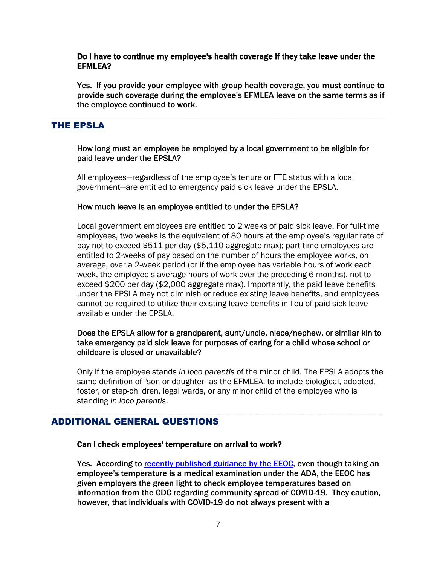#### Do I have to continue my employee's health coverage if they take leave under the EFMLEA?

Yes. If you provide your employee with group health coverage, you must continue to provide such coverage during the employee's EFMLEA leave on the same terms as if the employee continued to work.

# THE EPSLA

#### How long must an employee be employed by a local government to be eligible for paid leave under the EPSLA?

\_\_\_\_\_\_\_\_\_\_\_\_\_\_\_\_\_\_\_\_\_\_\_\_\_\_\_\_\_\_\_\_\_\_\_\_\_\_\_\_\_\_\_\_\_\_\_\_\_\_\_\_\_\_\_\_\_\_\_\_\_\_\_\_\_\_\_\_\_\_\_\_\_\_\_\_\_\_

All employees—regardless of the employee's tenure or FTE status with a local government—are entitled to emergency paid sick leave under the EPSLA.

#### How much leave is an employee entitled to under the EPSLA?

Local government employees are entitled to 2 weeks of paid sick leave. For full-time employees, two weeks is the equivalent of 80 hours at the employee's regular rate of pay not to exceed \$511 per day (\$5,110 aggregate max); part-time employees are entitled to 2-weeks of pay based on the number of hours the employee works, on average, over a 2-week period (or if the employee has variable hours of work each week, the employee's average hours of work over the preceding 6 months), not to exceed \$200 per day (\$2,000 aggregate max). Importantly, the paid leave benefits under the EPSLA may not diminish or reduce existing leave benefits, and employees cannot be required to utilize their existing leave benefits in lieu of paid sick leave available under the EPSLA.

### Does the EPSLA allow for a grandparent, aunt/uncle, niece/nephew, or similar kin to take emergency paid sick leave for purposes of caring for a child whose school or childcare is closed or unavailable?

Only if the employee stands *in loco parentis* of the minor child. The EPSLA adopts the same definition of "son or daughter" as the EFMLEA, to include biological, adopted, foster, or step-children, legal wards, or any minor child of the employee who is standing *in loco parentis*.

\_\_\_\_\_\_\_\_\_\_\_\_\_\_\_\_\_\_\_\_\_\_\_\_\_\_\_\_\_\_\_\_\_\_\_\_\_\_\_\_\_\_\_\_\_\_\_\_\_\_\_\_\_\_\_\_\_\_\_\_\_\_\_\_\_\_\_\_\_\_\_\_\_\_\_\_\_

# ADDITIONAL GENERAL QUESTIONS

#### Can I check employees' temperature on arrival to work?

Yes. According to [recently published guidance by the EEOC,](https://www.eeoc.gov/facts/pandemic_flu.html) even though taking an employee's temperature is a medical examination under the ADA, the EEOC has given employers the green light to check employee temperatures based on information from the CDC regarding community spread of COVID-19. They caution, however, that individuals with COVID-19 do not always present with a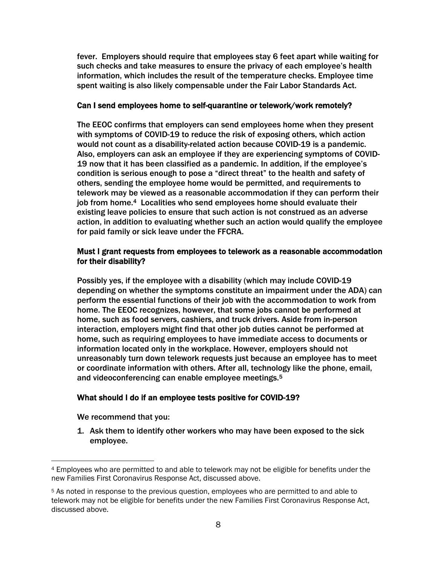fever. Employers should require that employees stay 6 feet apart while waiting for such checks and take measures to ensure the privacy of each employee's health information, which includes the result of the temperature checks. Employee time spent waiting is also likely compensable under the Fair Labor Standards Act.

#### Can I send employees home to self-quarantine or telework/work remotely?

The EEOC confirms that employers can send employees home when they present with symptoms of COVID-19 to reduce the risk of exposing others, which action would not count as a disability-related action because COVID-19 is a pandemic. Also, employers can ask an employee if they are experiencing symptoms of COVID-19 now that it has been classified as a pandemic. In addition, if the employee's condition is serious enough to pose a "direct threat" to the health and safety of others, sending the employee home would be permitted, and requirements to telework may be viewed as a reasonable accommodation if they can perform their job from home.[4](#page-7-0) Localities who send employees home should evaluate their existing leave policies to ensure that such action is not construed as an adverse action, in addition to evaluating whether such an action would qualify the employee for paid family or sick leave under the FFCRA.

### Must I grant requests from employees to telework as a reasonable accommodation for their disability?

Possibly yes, if the employee with a disability (which may include COVID-19 depending on whether the symptoms constitute an impairment under the ADA) can perform the essential functions of their job with the accommodation to work from home. The EEOC recognizes, however, that some jobs cannot be performed at home, such as food servers, cashiers, and truck drivers. Aside from in-person interaction, employers might find that other job duties cannot be performed at home, such as requiring employees to have immediate access to documents or information located only in the workplace. However, employers should not unreasonably turn down telework requests just because an employee has to meet or coordinate information with others. After all, technology like the phone, email, and videoconferencing can enable employee meetings.<sup>[5](#page-7-1)</sup>

# What should I do if an employee tests positive for COVID-19?

We recommend that you:

1. Ask them to identify other workers who may have been exposed to the sick employee.

<span id="page-7-0"></span><sup>4</sup> Employees who are permitted to and able to telework may not be eligible for benefits under the new Families First Coronavirus Response Act, discussed above.

<span id="page-7-1"></span><sup>5</sup> As noted in response to the previous question, employees who are permitted to and able to telework may not be eligible for benefits under the new Families First Coronavirus Response Act, discussed above.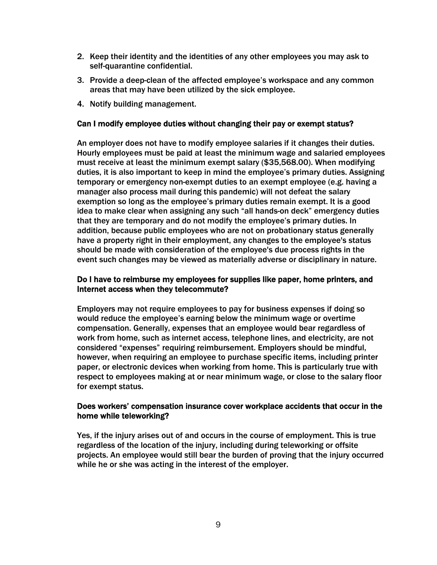- 2. Keep their identity and the identities of any other employees you may ask to self-quarantine confidential.
- 3. Provide a deep-clean of the affected employee's workspace and any common areas that may have been utilized by the sick employee.
- 4. Notify building management.

### Can I modify employee duties without changing their pay or exempt status?

An employer does not have to modify employee salaries if it changes their duties. Hourly employees must be paid at least the minimum wage and salaried employees must receive at least the minimum exempt salary (\$35,568.00). When modifying duties, it is also important to keep in mind the employee's primary duties. Assigning temporary or emergency non-exempt duties to an exempt employee (e.g. having a manager also process mail during this pandemic) will not defeat the salary exemption so long as the employee's primary duties remain exempt. It is a good idea to make clear when assigning any such "all hands-on deck" emergency duties that they are temporary and do not modify the employee's primary duties. In addition, because public employees who are not on probationary status generally have a property right in their employment, any changes to the employee's status should be made with consideration of the employee's due process rights in the event such changes may be viewed as materially adverse or disciplinary in nature.

### Do I have to reimburse my employees for supplies like paper, home printers, and Internet access when they telecommute?

Employers may not require employees to pay for business expenses if doing so would reduce the employee's earning below the minimum wage or overtime compensation. Generally, expenses that an employee would bear regardless of work from home, such as internet access, telephone lines, and electricity, are not considered "expenses" requiring reimbursement. Employers should be mindful, however, when requiring an employee to purchase specific items, including printer paper, or electronic devices when working from home. This is particularly true with respect to employees making at or near minimum wage, or close to the salary floor for exempt status.

### Does workers' compensation insurance cover workplace accidents that occur in the home while teleworking?

Yes, if the injury arises out of and occurs in the course of employment. This is true regardless of the location of the injury, including during teleworking or offsite projects. An employee would still bear the burden of proving that the injury occurred while he or she was acting in the interest of the employer.